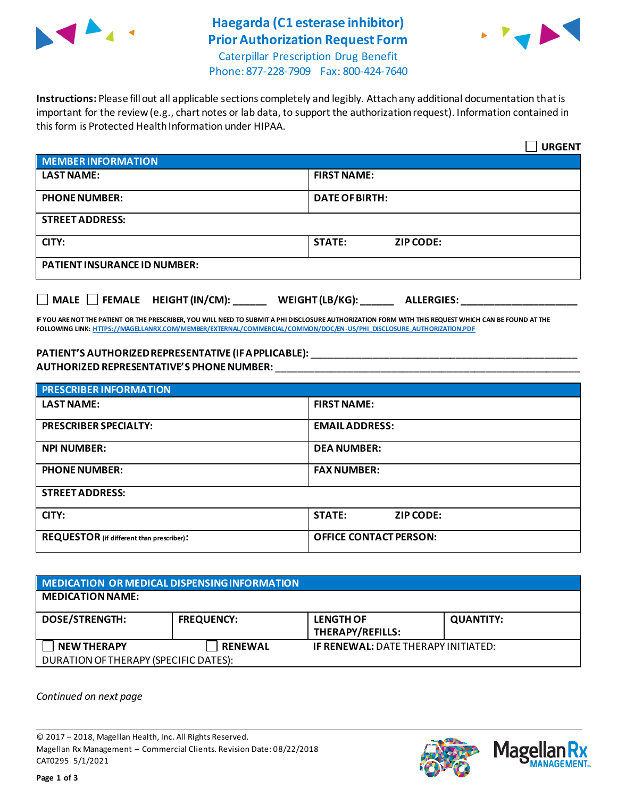

# **Haegarda (C1 esterase inhibitor) Prior Authorization Request Form**



Caterpillar Prescription Drug Benefit Phone: 877-228-7909 Fax: 800-424-7640

**Instructions:** Please fill out all applicable sections completely and legibly. Attach any additional documentation that is important for the review (e.g., chart notes or lab data, to support the authorization request). Information contained in this form is Protected Health Information under HIPAA.

|                                           | <b>URGENT</b>                        |  |
|-------------------------------------------|--------------------------------------|--|
| <b>MEMBER INFORMATION</b>                 |                                      |  |
| <b>LAST NAME:</b>                         | <b>FIRST NAME:</b>                   |  |
| <b>PHONE NUMBER:</b>                      | <b>DATE OF BIRTH:</b>                |  |
| <b>STREET ADDRESS:</b>                    |                                      |  |
| CITY:                                     | <b>STATE:</b><br><b>ZIP CODE:</b>    |  |
| <b>PATIENT INSURANCE ID NUMBER:</b>       |                                      |  |
| $\Box$ MALE $\Box$ FEMALE HEIGHT (IN/CM): | WEIGHT (LB/KG):<br><b>ALLERGIES:</b> |  |

**IF YOU ARE NOT THE PATIENT OR THE PRESCRIBER, YOU WILL NEED TO SUBMIT A PHI DISCLOSURE AUTHORIZATION FORM WITH THIS REQUEST WHICH CAN BE FOUND AT THE FOLLOWING LINK[: HTTPS://MAGELLANRX.COM/MEMBER/EXTERNAL/COMMERCIAL/COMMON/DOC/EN-US/PHI\\_DISCLOSURE\\_AUTHORIZATION.PDF](https://magellanrx.com/member/external/commercial/common/doc/en-us/PHI_Disclosure_Authorization.pdf)**

#### **PATIENT'S AUTHORIZED REPRESENTATIVE (IF APPLICABLE):** \_\_\_\_\_\_\_\_\_\_\_\_\_\_\_\_\_\_\_\_\_\_\_\_\_\_\_\_\_\_\_\_\_\_\_\_\_\_\_\_\_\_\_\_\_\_\_\_ **AUTHORIZED REPRESENTATIVE'S PHONE NUMBER:** \_\_\_\_\_\_\_\_\_\_\_\_\_\_\_\_\_\_\_\_\_\_\_\_\_\_\_\_\_\_\_\_\_\_\_\_\_\_\_\_\_\_\_\_\_\_\_\_\_\_\_\_\_\_\_

| <b>PRESCRIBER INFORMATION</b>             |                               |  |  |
|-------------------------------------------|-------------------------------|--|--|
| <b>LAST NAME:</b>                         | <b>FIRST NAME:</b>            |  |  |
| <b>PRESCRIBER SPECIALTY:</b>              | <b>EMAIL ADDRESS:</b>         |  |  |
| <b>NPI NUMBER:</b>                        | <b>DEA NUMBER:</b>            |  |  |
| <b>PHONE NUMBER:</b>                      | <b>FAX NUMBER:</b>            |  |  |
| <b>STREET ADDRESS:</b>                    |                               |  |  |
| CITY:                                     | <b>STATE:</b><br>ZIP CODE:    |  |  |
| REQUESTOR (if different than prescriber): | <b>OFFICE CONTACT PERSON:</b> |  |  |

### **MEDICATION OR MEDICAL DISPENSING INFORMATION MEDICATION NAME: DOSE/STRENGTH: FREQUENCY: LENGTH OF THERAPY/REFILLS: QUANTITY: NEW THERAPY RENEWAL IF RENEWAL:** DATE THERAPY INITIATED: DURATION OF THERAPY (SPECIFIC DATES):

*Continued on next page*

© 2017 – 2018, Magellan Health, Inc. All Rights Reserved. Magellan Rx Management – Commercial Clients. Revision Date: 08/22/2018 CAT0295 5/1/2021



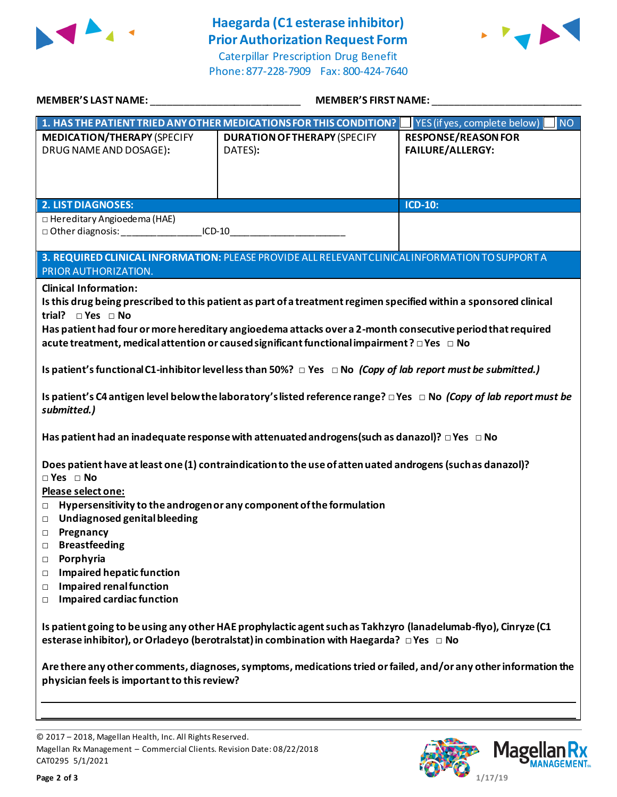

## **Haegarda (C1 esterase inhibitor) Prior Authorization Request Form**

Caterpillar Prescription Drug Benefit Phone: 877-228-7909 Fax: 800-424-7640



| MEMBER'S LAST NAME: WARD AND THE MANUSCRIPT OF THE STATE OF THE STATE OF THE STATE OF THE STATE OF THE STATE O                                                                                                                                                                                                                                                                                                                                                                                    | MEMBER'S FIRST NAME:                                               |                                                       |  |
|---------------------------------------------------------------------------------------------------------------------------------------------------------------------------------------------------------------------------------------------------------------------------------------------------------------------------------------------------------------------------------------------------------------------------------------------------------------------------------------------------|--------------------------------------------------------------------|-------------------------------------------------------|--|
|                                                                                                                                                                                                                                                                                                                                                                                                                                                                                                   | 1. HAS THE PATIENT TRIED ANY OTHER MEDICATIONS FOR THIS CONDITION? | <b>NO</b><br>YES (if yes, complete below)             |  |
| <b>MEDICATION/THERAPY (SPECIFY</b><br>DRUG NAME AND DOSAGE):                                                                                                                                                                                                                                                                                                                                                                                                                                      | <b>DURATION OF THERAPY (SPECIFY</b><br>DATES):                     | <b>RESPONSE/REASON FOR</b><br><b>FAILURE/ALLERGY:</b> |  |
| <b>2. LIST DIAGNOSES:</b>                                                                                                                                                                                                                                                                                                                                                                                                                                                                         |                                                                    | <b>ICD-10:</b>                                        |  |
| $\Box$ Hereditary Angioedema (HAE)<br>□ Other diagnosis: ___________________ICD-10___________________________________                                                                                                                                                                                                                                                                                                                                                                             |                                                                    |                                                       |  |
| 3. REQUIRED CLINICAL INFORMATION: PLEASE PROVIDE ALL RELEVANT CLINICAL INFORMATION TO SUPPORT A<br>PRIOR AUTHORIZATION.                                                                                                                                                                                                                                                                                                                                                                           |                                                                    |                                                       |  |
| <b>Clinical Information:</b><br>Is this drug being prescribed to this patient as part of a treatment regimen specified within a sponsored clinical<br>trial? $\square$ Yes $\square$ No<br>Has patient had four or more hereditary angioedema attacks over a 2-month consecutive period that required<br>acute treatment, medical attention or caused significant functional impairment? $\Box$ Yes $\Box$ No                                                                                     |                                                                    |                                                       |  |
| Is patient's functional C1-inhibitor level less than 50%? $\Box$ Yes $\Box$ No (Copy of lab report must be submitted.)                                                                                                                                                                                                                                                                                                                                                                            |                                                                    |                                                       |  |
| Is patient's C4 antigen level below the laboratory's listed reference range? $\Box$ Yes $\Box$ No (Copy of lab report must be<br>submitted.)                                                                                                                                                                                                                                                                                                                                                      |                                                                    |                                                       |  |
| Has patient had an inadequate response with attenuated androgens (such as danazol)? $\Box$ Yes $\Box$ No                                                                                                                                                                                                                                                                                                                                                                                          |                                                                    |                                                       |  |
| Does patient have at least one (1) contraindication to the use of atten uated androgens (such as danazol)?<br>$\Box$ Yes $\Box$ No<br>Please select one:<br>Hypersensitivity to the androgen or any component of the formulation<br>$\Box$<br>Undiagnosed genital bleeding<br>$\Box$<br><b>D</b> Pregnancy<br><b>Breastfeeding</b><br>□<br>Porphyria<br>$\Box$<br><b>Impaired hepatic function</b><br>$\Box$<br><b>Impaired renal function</b><br>$\Box$<br><b>Impaired cardiac function</b><br>П |                                                                    |                                                       |  |
| Is patient going to be using any other HAE prophylactic agent such as Takhzyro (lanadelumab-flyo), Cinryze (C1<br>esterase inhibitor), or Orladeyo (berotralstat) in combination with Haegarda? $\Box$ Yes $\Box$ No                                                                                                                                                                                                                                                                              |                                                                    |                                                       |  |
| Are there any other comments, diagnoses, symptoms, medications tried or failed, and/or any other information the<br>physician feels is important to this review?                                                                                                                                                                                                                                                                                                                                  |                                                                    |                                                       |  |
|                                                                                                                                                                                                                                                                                                                                                                                                                                                                                                   |                                                                    |                                                       |  |

© 2017 – 2018, Magellan Health, Inc. All Rights Reserved. Magellan Rx Management – Commercial Clients. Revision Date: 08/22/2018 CAT0295 5/1/2021